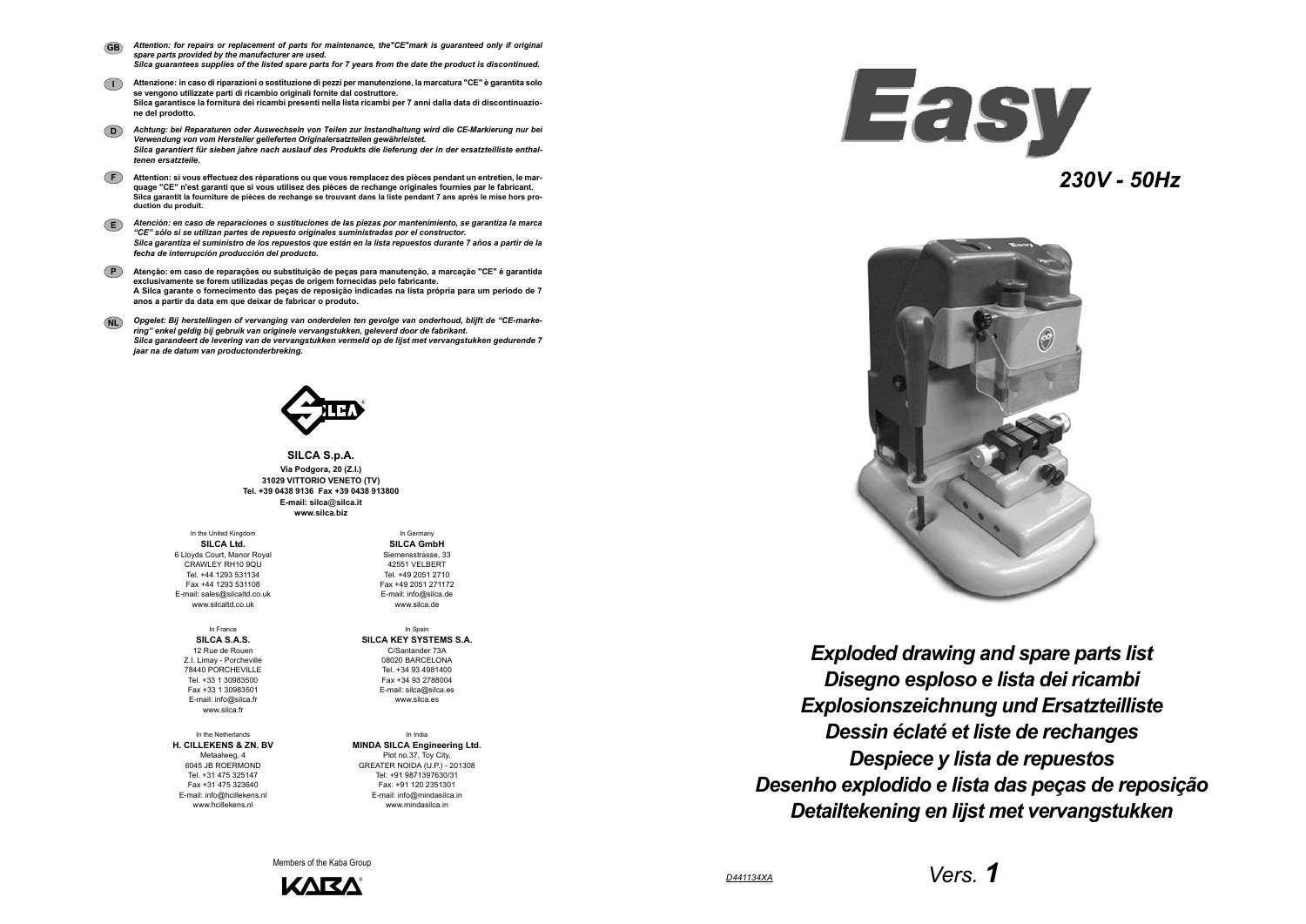*Vers. 1*



*230V - 50Hz*

**SILCA S.p.A. Via Podgora, 20 (Z.I.) 31029 VITTORIO VENETO (TV) Tel. +39 0438 9136 Fax +39 0438 913800 E-mail: silca**@**silca.it www.silca.biz**

- *Attention: for repairs or replacement of parts for maintenance, the"CE"mark is guaranteed only if original spare parts provided by the manufacturer are used. Silca guarantees supplies of the listed spare parts for 7 years from the date the product is discontinued.* **GB**
- **I Attenzione: in caso di riparazioni o sostituzione di pezzi per manutenzione, la marcatura "CE" è garantita solo se vengono utilizzate parti di ricambio originali fornite dal costruttore. Silca garantisce la fornitura dei ricambi presenti nella lista ricambi per 7 anni dalla data di discontinuazione del prodotto.**
- **D***Achtung: bei Reparaturen oder Auswechseln von Teilen zur Instandhaltung wird die CE-Markierung nur bei Verwendung von vom Hersteller gelieferten Originalersatzteilen gewährleistet. Silca garantiert für sieben jahre nach auslauf des Produkts die lieferung der in der ersatzteilliste enthaltenen ersatzteile.*
- **F Attention: si vous effectuez des réparations ou que vous remplacez des pièces pendant un entretien, le marquage "CE" n'est garanti que si vous utilisez des pièces de rechange originales fournies par le fabricant. Silca garantit la fourniture de pièces de rechange se trouvant dans la liste pendant 7 ans après le mise hors production du produit.**
- **E***Atención: en caso de reparaciones o sustituciones de las piezas por mantenimiento, se garantiza la marca "CE" sólo si se utilizan partes de repuesto originales suministradas por el constructor. Silca garantiza el suministro de los repuestos que están en la lista repuestos durante 7 años a partir de la fecha de interrupción producción del producto.*
- **PAtenção: em caso de reparações ou substituição de peças para manutenção, a marcação "CE" é garantida exclusivamente se forem utilizadas peças de origem fornecidas pelo fabricante. A Silca garante o fornecimento das peças de reposição indicadas na lista própria para um período de 7 anos a partir da data em que deixar de fabricar o produto.**
- **NL** *Opgelet: Bij herstellingen of vervanging van onderdelen ten gevolge van onderhoud, blijft de "CE-markering" enkel geldig bij gebruik van originele vervangstukken, geleverd door de fabrikant. Silca garandeert de levering van de vervangstukken vermeld op de lijst met vervangstukken gedurende 7 jaar na de datum van productonderbreking.*



In the United Kingdom **SILCA Ltd.** 6 Lloyds Court, Manor Royal CRAWLEY RH10 9QU Tel. +44 1293 531134 Fax +44 1293 531108 E-mail: sales@silcaltd.co.uk www.silcaltd.co.uk

In France**SILCA S.A.S.** 12 Rue de Rouen Z.I. Limay - Porcheville 78440 PORCHEVILLE Tel. +33 1 30983500 Fax +33 1 30983501 E-mail: info@silca.fr www.silca.fr

In the Netherlands**H. CILLEKENS & ZN. BV** Metaalweg, 4 6045 JB ROERMOND Tel. +31 475 325147 Fax +31 475 323640E-mail: info@hcillekens.nl

www.hcillekens.nl

In Germany

**SILCA GmbH** Siemensstrasse, 33 42551 VELBERTTel. +49 2051 2710 Fax +49 2051 271172 E-mail: info@silca.de www.silca.de

In Spain **SILCA KEY SYSTEMS S.A.** C/Santander 73A 08020 BARCELONA Tel. +34 93 4981400 Fax +34 93 2788004 E-mail: silca@silca.es www.silca.es

In India**MINDA SILCA Engineering Ltd.** Plot no.37, Toy City, GREATER NOIDA (U.P.) - 201308 Tel: +91 9871397630/31 Fax: +91 120 2351301 E-mail: info@mindasilca.in www.mindasilca.in

Members of the Kaba Group



**Easy** 



*Disegno esploso e lista dei ricambi Exploded drawing and spare parts list Explosionszeichnung und Ersatzteilliste Dessin éclaté et liste de rechanges Despiece y lista de repuestos Desenho explodido e lista das peças de reposição Detailtekening en lijst met vervangstukken*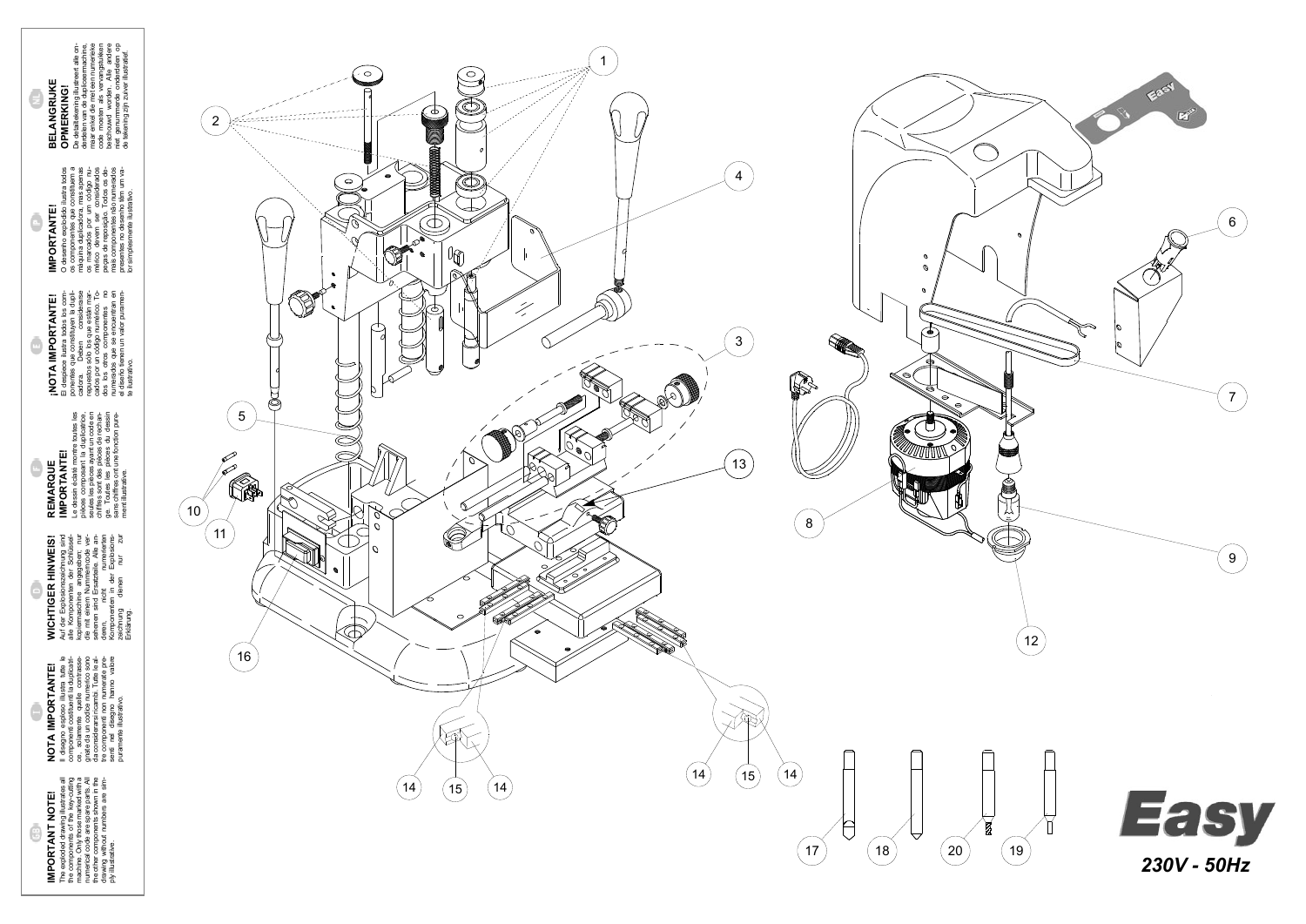**WICHTIGER HINWEIS!** Auf der Explosionszeichnung sind alle Komponenten der Schlüsselkopiermaschine angegeben; nur die mit einem Nummerncode versehenen sind Ersatzteile. Alle anderen, nicht numerierten Komponenten in der Explosionszeichnung dienen nur zur **WICHTIGER HINWEIS!**<br>Auf der Explosionszeichnung sind<br>kopie Knanconne an der Schrift<br>kopie Knanconne an der Schrift<br>die mit einem Nummerincode ver-<br>seienen sind Ersatzeile. Alle an-<br>Kenen, an in der Explosierten<br>Kenen, an

**NOTA IMPORTANTE!**<br>
Il disegno esploso illustra tutte le<br>
componenti cositiva della douplicati-<br>
componenti cositiva della douplicati-<br>
gnate da un codice numerico sono<br>
da considerarsi ricambi Tutte le al-<br>
ter considerar Il disegno esploso illustra tutte le componenti costituenti la duplicatrice, solamente quelle contrassegnate da un codice numerico sono da considerarsi ricambi. Tutte le altre componenti non numerate presenti nel disegno hanno valore puramente illustrativo.

**IMPORTANT NOTE!**<br>The exploded drawing illustrates all<br>the components of the key-cutting<br>machinal. Only those mated with a<br>machinal. Only those mated with a<br>the other components shown in the<br>drawing without numbers are sim **IMPORTANT NOTE!**

Θ

G

## **NOTA IMPORTANTE!**

 $REMARKAUTE  
\nIMPORTANTE!  
\n $e$  dessin éstat function  
\n $e$  dessin éstat function  
\n $e$  desisin éstat function  
\n $e$  desiesis destat function  
\n $e$  selesies square un code en  
\n $e$  in  $e$  de  
\n $e$  de  
\n $e$  de  
\n $e$  de  
\n $e$  de  
\n $e$  de  
\n $e$  de  
\n $$$ Le dessin éclaté montre toutes les pièces composant la duplicatrice, seules les pièces ayant un code en chiffres sont des pièces de rechange. Toutes les pièces du dessin sans chiffres ont une fonction pure-**IMPORTANTE! REMARQUE** ment illustrative.

O desenho explodido ilustra todos<br>os componentes que constituem a<br>máquina duplicadora, mas apenas<br>os marcados por um código nu-<br>pejas de reponsição. Todos desen<br>pejas de reponsição. Todos desen<br>mais componentes não numerad O desenho explodido ilustra todos os componentes que constituem a máquina duplicadora, mas apenas os marcados por um código numérico devem ser considerados peças de reposição. Todos os demais componentes não numerados presentes no desenho têm um va-**IMPORTANTE! IMPORTANTE!**

> The exploded drawing illustrates all the components of the key-cutting machine. Only those marked with a numerical code are spare parts. All the other components shown in the drawing without numbers are sim-

ply illustrative.

**BELANGRIJKE**<br> **OPMERKING!**<br>
De detailfekening illustreert alle on-<br>
derbelm van de dupliceermachine,<br>
derbelm van de dupliceermachine,<br>
code moeten als vervangstukken<br>
beschouwd worden. Alle andere<br>
niet genummerde onderd De detailtekening illustreert alle onderdelen van de dupliceermachine, maar enkel die met een numerieke code moeten als vervangstukken beschouwd worden. Alle andere niet genummerde onderdelen op de tekening zijn zuiver illustratief. **BELANGRIJKE OPMERKING!**

θ

C



cados por un código numérico. Todos los otros componentes no numerados que se encuentran en el diseño tienen un valor puramen-

te ilustrativo.

lor simplesmente ilustrativo.

**¡NOTA IMPORTANTE!**<br>El despiece il ustra todos los com-<br>cadora. Queen todos los com-<br>cadora. Queen todos por considerarse<br>repuestos sólo los que están mar-<br>cados por un código numérico. To-<br>numerados que se encuentra no<br>el El despiece ilustra todos los componentes que constituyen la duplicadora. Deben considerarse repuestos sólo los que están mar-**¡NOTA IMPORTANTE!** Ó